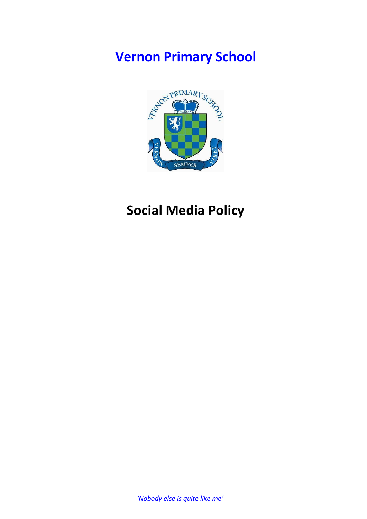# **Vernon Primary School**



## **Social Media Policy**

*'Nobody else is quite like me'*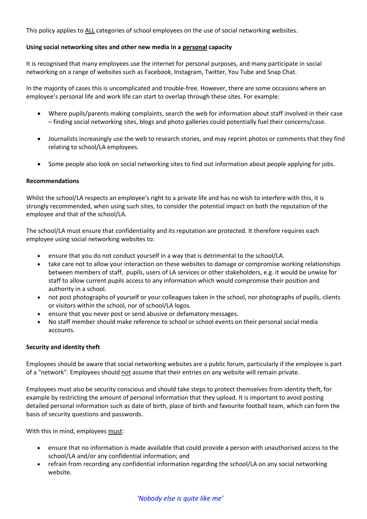This policy applies to ALL categories of school employees on the use of social networking websites.

## **Using social networking sites and other new media in a personal capacity**

It is recognised that many employees use the internet for personal purposes, and many participate in social networking on a range of websites such as Facebook, Instagram, Twitter, You Tube and Snap Chat.

In the majority of cases this is uncomplicated and trouble-free. However, there are some occasions where an employee's personal life and work life can start to overlap through these sites. For example:

- Where pupils/parents making complaints, search the web for information about staff involved in their case – finding social networking sites, blogs and photo galleries could potentially fuel their concerns/case.
- Journalists increasingly use the web to research stories, and may reprint photos or comments that they find relating to school/LA employees.
- Some people also look on social networking sites to find out information about people applying for jobs.

#### **Recommendations**

Whilst the school/LA respects an employee's right to a private life and has no wish to interfere with this, it is strongly recommended, when using such sites, to consider the potential impact on both the reputation of the employee and that of the school/LA.

The school/LA must ensure that confidentiality and its reputation are protected. It therefore requires each employee using social networking websites to:

- ensure that you do not conduct yourself in a way that is detrimental to the school/LA.
- take care not to allow your interaction on these websites to damage or compromise working relationships between members of staff, pupils, users of LA services or other stakeholders, e.g. it would be unwise for staff to allow current pupils access to any information which would compromise their position and authority in a school.
- not post photographs of yourself or your colleagues taken in the school, nor photographs of pupils, clients or visitors within the school, nor of school/LA logos.
- ensure that you never post or send abusive or defamatory messages.
- No staff member should make reference to school or school events on their personal social media accounts.

#### **Security and identity theft**

Employees should be aware that social networking websites are a public forum, particularly if the employee is part of a "network". Employees should not assume that their entries on any website will remain private.

Employees must also be security conscious and should take steps to protect themselves from identity theft, for example by restricting the amount of personal information that they upload. It is important to avoid posting detailed personal information such as date of birth, place of birth and favourite football team, which can form the basis of security questions and passwords.

With this in mind, employees must:

- ensure that no information is made available that could provide a person with unauthorised access to the school/LA and/or any confidential information; and
- refrain from recording any confidential information regarding the school/LA on any social networking website.

## *'Nobody else is quite like me'*